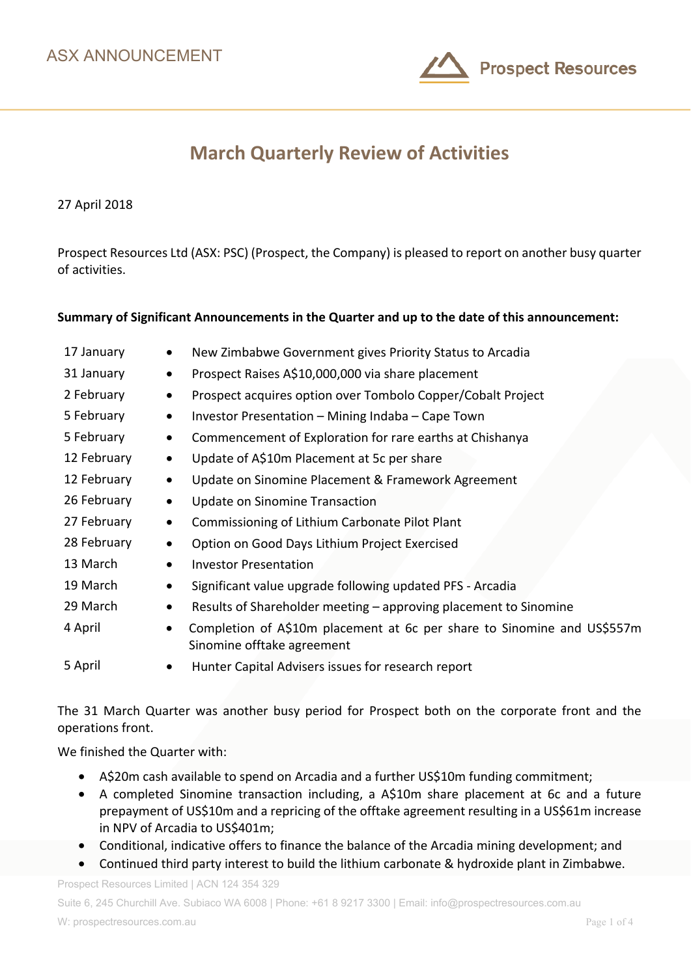

# **March Quarterly Review of Activities**

27 April 2018

Prospect Resources Ltd (ASX: PSC) (Prospect, the Company) is pleased to report on another busy quarter of activities.

### **Summary of Significant Announcements in the Quarter and up to the date of this announcement:**

| 17 January<br>$\bullet$  | New Zimbabwe Government gives Priority Status to Arcadia                                              |
|--------------------------|-------------------------------------------------------------------------------------------------------|
| 31 January<br>$\bullet$  | Prospect Raises A\$10,000,000 via share placement                                                     |
| 2 February<br>$\bullet$  | Prospect acquires option over Tombolo Copper/Cobalt Project                                           |
| 5 February<br>$\bullet$  | Investor Presentation - Mining Indaba - Cape Town                                                     |
| 5 February<br>$\bullet$  | Commencement of Exploration for rare earths at Chishanya                                              |
| 12 February<br>$\bullet$ | Update of A\$10m Placement at 5c per share                                                            |
| 12 February<br>$\bullet$ | Update on Sinomine Placement & Framework Agreement                                                    |
| 26 February<br>$\bullet$ | Update on Sinomine Transaction                                                                        |
| 27 February<br>$\bullet$ | Commissioning of Lithium Carbonate Pilot Plant                                                        |
| 28 February<br>$\bullet$ | Option on Good Days Lithium Project Exercised                                                         |
| 13 March<br>$\bullet$    | <b>Investor Presentation</b>                                                                          |
| 19 March<br>$\bullet$    | Significant value upgrade following updated PFS - Arcadia                                             |
| 29 March<br>$\bullet$    | Results of Shareholder meeting - approving placement to Sinomine                                      |
| 4 April<br>$\bullet$     | Completion of A\$10m placement at 6c per share to Sinomine and US\$557m<br>Sinomine offtake agreement |
| 5 April                  | Hunter Capital Advisers issues for research report                                                    |

The 31 March Quarter was another busy period for Prospect both on the corporate front and the operations front.

We finished the Quarter with:

- A\$20m cash available to spend on Arcadia and a further US\$10m funding commitment;
- A completed Sinomine transaction including, a A\$10m share placement at 6c and a future prepayment of US\$10m and a repricing of the offtake agreement resulting in a US\$61m increase in NPV of Arcadia to US\$401m;
- Conditional, indicative offers to finance the balance of the Arcadia mining development; and
- Continued third party interest to build the lithium carbonate & hydroxide plant in Zimbabwe.

Prospect Resources Limited | ACN 124 354 329

Suite 6, 245 Churchill Ave. Subiaco WA 6008 | Phone: +61 8 9217 3300 | Email: info@prospectresources.com.au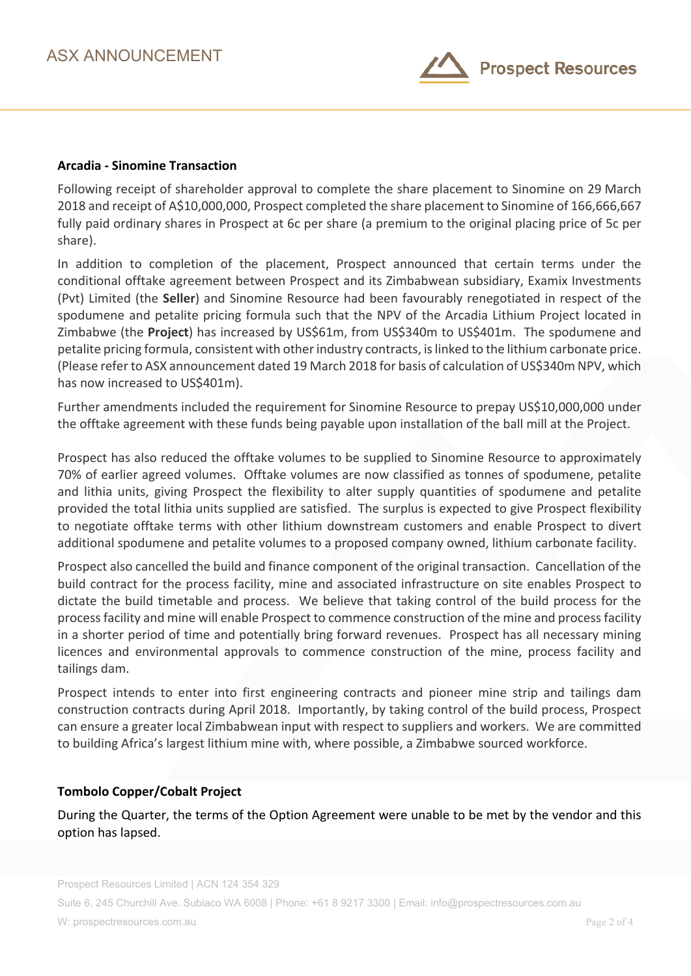

### **Arcadia - Sinomine Transaction**

Following receipt of shareholder approval to complete the share placement to Sinomine on 29 March 2018 and receipt of A\$10,000,000, Prospect completed the share placement to Sinomine of 166,666,667 fully paid ordinary shares in Prospect at 6c per share (a premium to the original placing price of 5c per share).

In addition to completion of the placement, Prospect announced that certain terms under the conditional offtake agreement between Prospect and its Zimbabwean subsidiary, Examix Investments (Pvt) Limited (the **Seller**) and Sinomine Resource had been favourably renegotiated in respect of the spodumene and petalite pricing formula such that the NPV of the Arcadia Lithium Project located in Zimbabwe (the **Project**) has increased by US\$61m, from US\$340m to US\$401m. The spodumene and petalite pricing formula, consistent with other industry contracts, is linked to the lithium carbonate price. (Please refer to ASX announcement dated 19 March 2018 for basis of calculation of US\$340m NPV, which has now increased to US\$401m).

Further amendments included the requirement for Sinomine Resource to prepay US\$10,000,000 under the offtake agreement with these funds being payable upon installation of the ball mill at the Project.

Prospect has also reduced the offtake volumes to be supplied to Sinomine Resource to approximately 70% of earlier agreed volumes. Offtake volumes are now classified as tonnes of spodumene, petalite and lithia units, giving Prospect the flexibility to alter supply quantities of spodumene and petalite provided the total lithia units supplied are satisfied. The surplus is expected to give Prospect flexibility to negotiate offtake terms with other lithium downstream customers and enable Prospect to divert additional spodumene and petalite volumes to a proposed company owned, lithium carbonate facility.

Prospect also cancelled the build and finance component of the original transaction. Cancellation of the build contract for the process facility, mine and associated infrastructure on site enables Prospect to dictate the build timetable and process. We believe that taking control of the build process for the process facility and mine will enable Prospect to commence construction of the mine and process facility in a shorter period of time and potentially bring forward revenues. Prospect has all necessary mining licences and environmental approvals to commence construction of the mine, process facility and tailings dam.

Prospect intends to enter into first engineering contracts and pioneer mine strip and tailings dam construction contracts during April 2018. Importantly, by taking control of the build process, Prospect can ensure a greater local Zimbabwean input with respect to suppliers and workers. We are committed to building Africa's largest lithium mine with, where possible, a Zimbabwe sourced workforce.

# **Tombolo Copper/Cobalt Project**

During the Quarter, the terms of the Option Agreement were unable to be met by the vendor and this option has lapsed.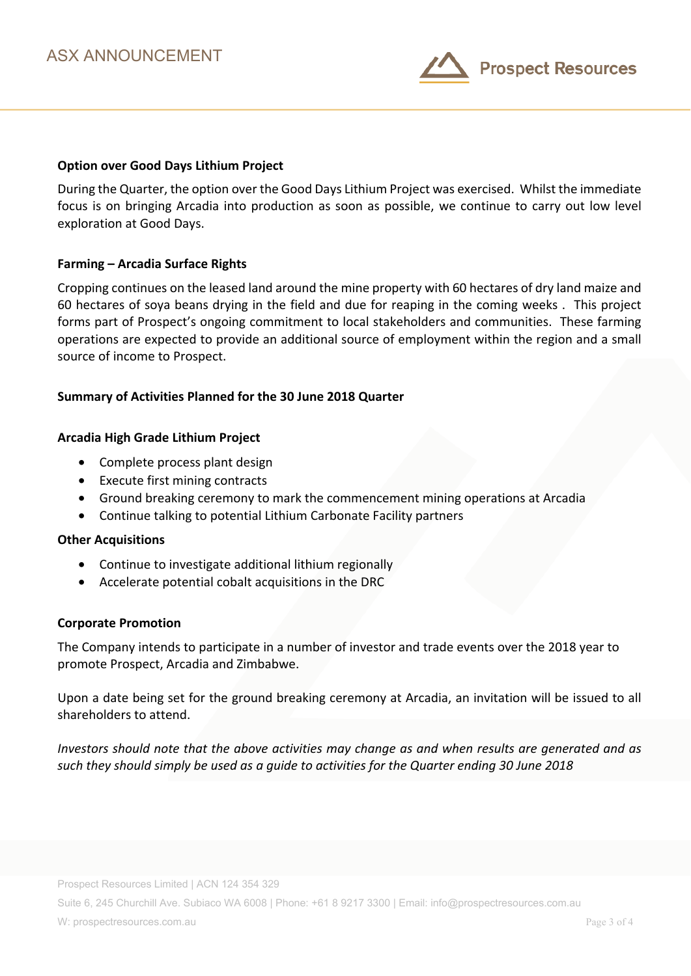

## **Option over Good Days Lithium Project**

During the Quarter, the option over the Good Days Lithium Project was exercised. Whilst the immediate focus is on bringing Arcadia into production as soon as possible, we continue to carry out low level exploration at Good Days.

#### **Farming – Arcadia Surface Rights**

Cropping continues on the leased land around the mine property with 60 hectares of dry land maize and 60 hectares of soya beans drying in the field and due for reaping in the coming weeks . This project forms part of Prospect's ongoing commitment to local stakeholders and communities. These farming operations are expected to provide an additional source of employment within the region and a small source of income to Prospect.

### **Summary of Activities Planned for the 30 June 2018 Quarter**

#### **Arcadia High Grade Lithium Project**

- Complete process plant design
- Execute first mining contracts
- Ground breaking ceremony to mark the commencement mining operations at Arcadia
- Continue talking to potential Lithium Carbonate Facility partners

#### **Other Acquisitions**

- Continue to investigate additional lithium regionally
- Accelerate potential cobalt acquisitions in the DRC

#### **Corporate Promotion**

The Company intends to participate in a number of investor and trade events over the 2018 year to promote Prospect, Arcadia and Zimbabwe.

Upon a date being set for the ground breaking ceremony at Arcadia, an invitation will be issued to all shareholders to attend.

*Investors should note that the above activities may change as and when results are generated and as such they should simply be used as a guide to activities for the Quarter ending 30 June 2018*

Suite 6, 245 Churchill Ave. Subiaco WA 6008 | Phone: +61 8 9217 3300 | Email: info@prospectresources.com.au